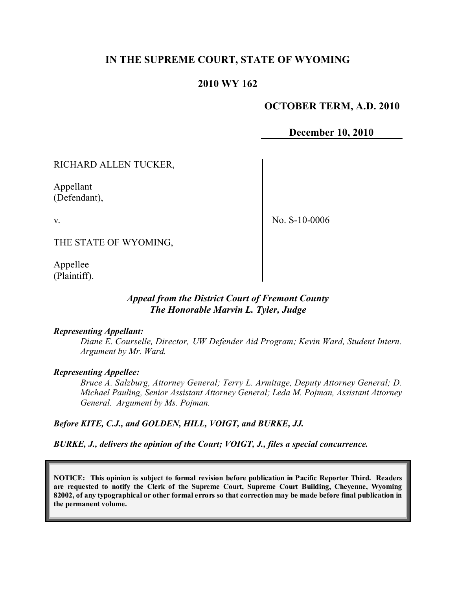## **IN THE SUPREME COURT, STATE OF WYOMING**

## **2010 WY 162**

## **OCTOBER TERM, A.D. 2010**

**December 10, 2010**

RICHARD ALLEN TUCKER,

Appellant (Defendant),

v.

No. S-10-0006

THE STATE OF WYOMING,

Appellee (Plaintiff).

#### *Appeal from the District Court of Fremont County The Honorable Marvin L. Tyler, Judge*

#### *Representing Appellant:*

*Diane E. Courselle, Director, UW Defender Aid Program; Kevin Ward, Student Intern. Argument by Mr. Ward.*

#### *Representing Appellee:*

*Bruce A. Salzburg, Attorney General; Terry L. Armitage, Deputy Attorney General; D. Michael Pauling, Senior Assistant Attorney General; Leda M. Pojman, Assistant Attorney General. Argument by Ms. Pojman.*

*Before KITE, C.J., and GOLDEN, HILL, VOIGT, and BURKE, JJ.*

*BURKE, J., delivers the opinion of the Court; VOIGT, J., files a special concurrence.*

**NOTICE: This opinion is subject to formal revision before publication in Pacific Reporter Third. Readers are requested to notify the Clerk of the Supreme Court, Supreme Court Building, Cheyenne, Wyoming** 82002, of any typographical or other formal errors so that correction may be made before final publication in **the permanent volume.**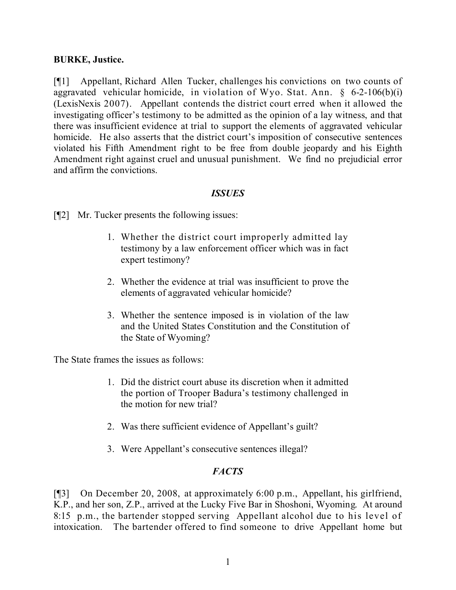## **BURKE, Justice.**

[¶1] Appellant, Richard Allen Tucker, challenges his convictions on two counts of aggravated vehicular homicide, in violation of Wyo. Stat. Ann.  $\S$  6-2-106(b)(i) (LexisNexis 2007). Appellant contends the district court erred when it allowed the investigating officer's testimony to be admitted as the opinion of a lay witness, and that there was insufficient evidence at trial to support the elements of aggravated vehicular homicide. He also asserts that the district court's imposition of consecutive sentences violated his Fifth Amendment right to be free from double jeopardy and his Eighth Amendment right against cruel and unusual punishment. We find no prejudicial error and affirm the convictions.

## *ISSUES*

[¶2] Mr. Tucker presents the following issues:

- 1. Whether the district court improperly admitted lay testimony by a law enforcement officer which was in fact expert testimony?
- 2. Whether the evidence at trial was insufficient to prove the elements of aggravated vehicular homicide?
- 3. Whether the sentence imposed is in violation of the law and the United States Constitution and the Constitution of the State of Wyoming?

The State frames the issues as follows:

- 1. Did the district court abuse its discretion when it admitted the portion of Trooper Badura's testimony challenged in the motion for new trial?
- 2. Was there sufficient evidence of Appellant's guilt?
- 3. Were Appellant's consecutive sentences illegal?

# *FACTS*

[¶3] On December 20, 2008, at approximately 6:00 p.m., Appellant, his girlfriend, K.P., and her son, Z.P., arrived at the Lucky Five Bar in Shoshoni, Wyoming. At around 8:15 p.m., the bartender stopped serving Appellant alcohol due to his level of intoxication. The bartender offered to find someone to drive Appellant home but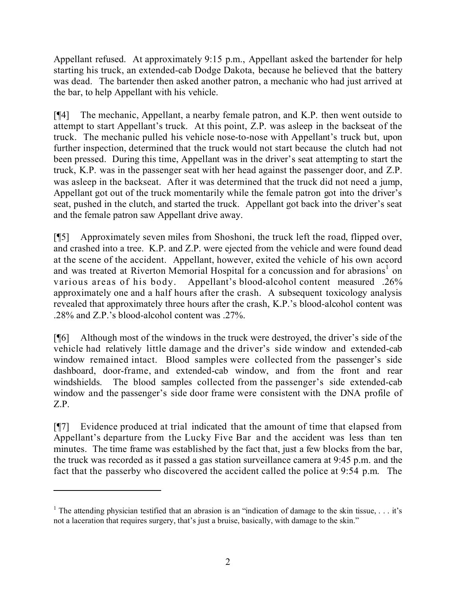Appellant refused. At approximately 9:15 p.m., Appellant asked the bartender for help starting his truck, an extended-cab Dodge Dakota, because he believed that the battery was dead. The bartender then asked another patron, a mechanic who had just arrived at the bar, to help Appellant with his vehicle.

[¶4] The mechanic, Appellant, a nearby female patron, and K.P. then went outside to attempt to start Appellant's truck. At this point, Z.P. was asleep in the backseat of the truck. The mechanic pulled his vehicle nose-to-nose with Appellant's truck but, upon further inspection, determined that the truck would not start because the clutch had not been pressed. During this time, Appellant was in the driver's seat attempting to start the truck, K.P. was in the passenger seat with her head against the passenger door, and Z.P. was asleep in the backseat. After it was determined that the truck did not need a jump, Appellant got out of the truck momentarily while the female patron got into the driver's seat, pushed in the clutch, and started the truck. Appellant got back into the driver's seat and the female patron saw Appellant drive away.

[¶5] Approximately seven miles from Shoshoni, the truck left the road, flipped over, and crashed into a tree. K.P. and Z.P. were ejected from the vehicle and were found dead at the scene of the accident. Appellant, however, exited the vehicle of his own accord and was treated at Riverton Memorial Hospital for a concussion and for abrasions<sup>1</sup> on various areas of his body. Appellant's blood-alcohol content measured .26% approximately one and a half hours after the crash. A subsequent toxicology analysis revealed that approximately three hours after the crash, K.P.'s blood-alcohol content was .28% and Z.P.'s blood-alcohol content was .27%.

[¶6] Although most of the windows in the truck were destroyed, the driver's side of the vehicle had relatively little damage and the driver's side window and extended-cab window remained intact. Blood samples were collected from the passenger's side dashboard, door-frame, and extended-cab window, and from the front and rear windshields. The blood samples collected from the passenger's side extended-cab window and the passenger's side door frame were consistent with the DNA profile of Z.P.

[¶7] Evidence produced at trial indicated that the amount of time that elapsed from Appellant's departure from the Lucky Five Bar and the accident was less than ten minutes. The time frame was established by the fact that, just a few blocks from the bar, the truck was recorded as it passed a gas station surveillance camera at 9:45 p.m. and the fact that the passerby who discovered the accident called the police at 9:54 p.m. The

<sup>&</sup>lt;sup>1</sup> The attending physician testified that an abrasion is an "indication of damage to the skin tissue,  $\ldots$  it's not a laceration that requires surgery, that's just a bruise, basically, with damage to the skin."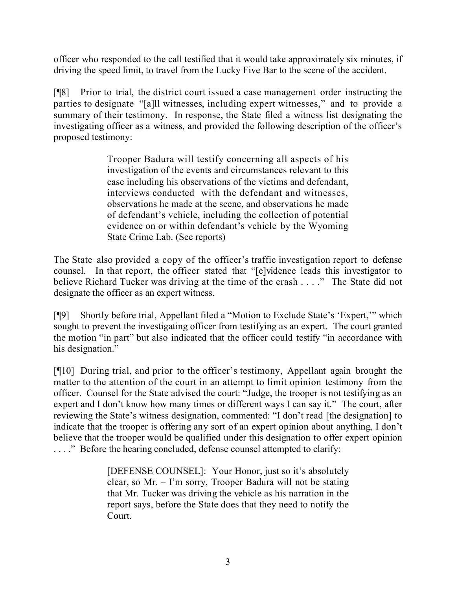officer who responded to the call testified that it would take approximately six minutes, if driving the speed limit, to travel from the Lucky Five Bar to the scene of the accident.

[¶8] Prior to trial, the district court issued a case management order instructing the parties to designate "[a]ll witnesses, including expert witnesses," and to provide a summary of their testimony. In response, the State filed a witness list designating the investigating officer as a witness, and provided the following description of the officer's proposed testimony:

> Trooper Badura will testify concerning all aspects of his investigation of the events and circumstances relevant to this case including his observations of the victims and defendant, interviews conducted with the defendant and witnesses, observations he made at the scene, and observations he made of defendant's vehicle, including the collection of potential evidence on or within defendant's vehicle by the Wyoming State Crime Lab. (See reports)

The State also provided a copy of the officer's traffic investigation report to defense counsel. In that report, the officer stated that "[e]vidence leads this investigator to believe Richard Tucker was driving at the time of the crash . . . ." The State did not designate the officer as an expert witness.

[¶9] Shortly before trial, Appellant filed a "Motion to Exclude State's 'Expert,'" which sought to prevent the investigating officer from testifying as an expert. The court granted the motion "in part" but also indicated that the officer could testify "in accordance with his designation."

[¶10] During trial, and prior to the officer's testimony, Appellant again brought the matter to the attention of the court in an attempt to limit opinion testimony from the officer. Counsel for the State advised the court: "Judge, the trooper is not testifying as an expert and I don't know how many times or different ways I can say it." The court, after reviewing the State's witness designation, commented: "I don't read [the designation] to indicate that the trooper is offering any sort of an expert opinion about anything, I don't believe that the trooper would be qualified under this designation to offer expert opinion . . . ." Before the hearing concluded, defense counsel attempted to clarify:

> [DEFENSE COUNSEL]: Your Honor, just so it's absolutely clear, so Mr. – I'm sorry, Trooper Badura will not be stating that Mr. Tucker was driving the vehicle as his narration in the report says, before the State does that they need to notify the Court.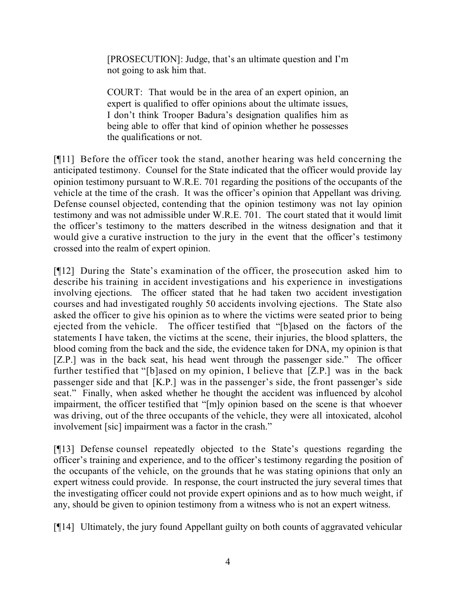[PROSECUTION]: Judge, that's an ultimate question and I'm not going to ask him that.

COURT: That would be in the area of an expert opinion, an expert is qualified to offer opinions about the ultimate issues, I don't think Trooper Badura's designation qualifies him as being able to offer that kind of opinion whether he possesses the qualifications or not.

[¶11] Before the officer took the stand, another hearing was held concerning the anticipated testimony. Counsel for the State indicated that the officer would provide lay opinion testimony pursuant to W.R.E. 701 regarding the positions of the occupants of the vehicle at the time of the crash. It was the officer's opinion that Appellant was driving. Defense counsel objected, contending that the opinion testimony was not lay opinion testimony and was not admissible under W.R.E. 701. The court stated that it would limit the officer's testimony to the matters described in the witness designation and that it would give a curative instruction to the jury in the event that the officer's testimony crossed into the realm of expert opinion.

[¶12] During the State's examination of the officer, the prosecution asked him to describe his training in accident investigations and his experience in investigations involving ejections. The officer stated that he had taken two accident investigation courses and had investigated roughly 50 accidents involving ejections. The State also asked the officer to give his opinion as to where the victims were seated prior to being ejected from the vehicle. The officer testified that "[b]ased on the factors of the statements I have taken, the victims at the scene, their injuries, the blood splatters, the blood coming from the back and the side, the evidence taken for DNA, my opinion is that [Z.P.] was in the back seat, his head went through the passenger side." The officer further testified that "[b]ased on my opinion, I believe that [Z.P.] was in the back passenger side and that [K.P.] was in the passenger's side, the front passenger's side seat." Finally, when asked whether he thought the accident was influenced by alcohol impairment, the officer testified that "[m]y opinion based on the scene is that whoever was driving, out of the three occupants of the vehicle, they were all intoxicated, alcohol involvement [sic] impairment was a factor in the crash."

[¶13] Defense counsel repeatedly objected to the State's questions regarding the officer's training and experience, and to the officer's testimony regarding the position of the occupants of the vehicle, on the grounds that he was stating opinions that only an expert witness could provide. In response, the court instructed the jury several times that the investigating officer could not provide expert opinions and as to how much weight, if any, should be given to opinion testimony from a witness who is not an expert witness.

[¶14] Ultimately, the jury found Appellant guilty on both counts of aggravated vehicular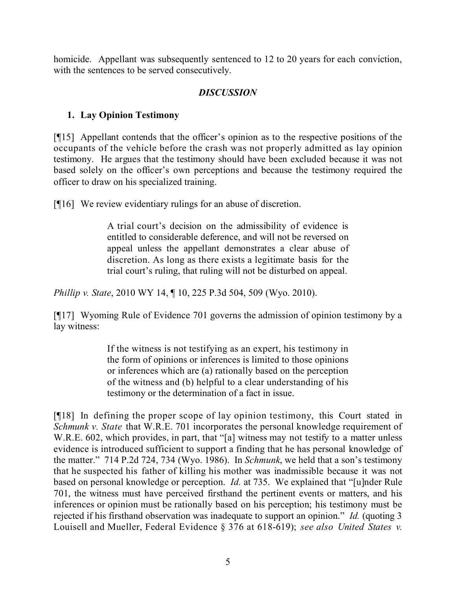homicide. Appellant was subsequently sentenced to 12 to 20 years for each conviction, with the sentences to be served consecutively.

## *DISCUSSION*

# **1. Lay Opinion Testimony**

[¶15] Appellant contends that the officer's opinion as to the respective positions of the occupants of the vehicle before the crash was not properly admitted as lay opinion testimony. He argues that the testimony should have been excluded because it was not based solely on the officer's own perceptions and because the testimony required the officer to draw on his specialized training.

[¶16] We review evidentiary rulings for an abuse of discretion.

A trial court's decision on the admissibility of evidence is entitled to considerable deference, and will not be reversed on appeal unless the appellant demonstrates a clear abuse of discretion. As long as there exists a legitimate basis for the trial court's ruling, that ruling will not be disturbed on appeal.

*Phillip v. State*, 2010 WY 14, ¶ 10, 225 P.3d 504, 509 (Wyo. 2010).

[¶17] Wyoming Rule of Evidence 701 governs the admission of opinion testimony by a lay witness:

> If the witness is not testifying as an expert, his testimony in the form of opinions or inferences is limited to those opinions or inferences which are (a) rationally based on the perception of the witness and (b) helpful to a clear understanding of his testimony or the determination of a fact in issue.

[¶18] In defining the proper scope of lay opinion testimony, this Court stated in *Schmunk v. State* that W.R.E. 701 incorporates the personal knowledge requirement of W.R.E. 602, which provides, in part, that "[a] witness may not testify to a matter unless evidence is introduced sufficient to support a finding that he has personal knowledge of the matter." 714 P.2d 724, 734 (Wyo. 1986). In *Schmunk*, we held that a son's testimony that he suspected his father of killing his mother was inadmissible because it was not based on personal knowledge or perception. *Id.* at 735. We explained that "[u]nder Rule 701, the witness must have perceived firsthand the pertinent events or matters, and his inferences or opinion must be rationally based on his perception; his testimony must be rejected if his firsthand observation was inadequate to support an opinion." *Id.* (quoting 3 Louisell and Mueller, Federal Evidence § 376 at 618-619); *see also United States v.*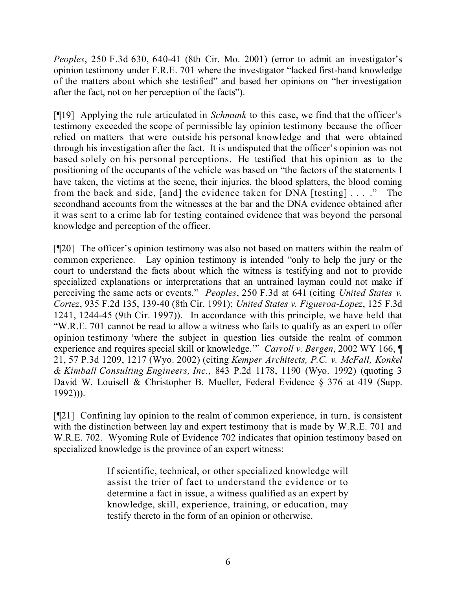*Peoples*, 250 F.3d 630, 640-41 (8th Cir. Mo. 2001) (error to admit an investigator's opinion testimony under F.R.E. 701 where the investigator "lacked first-hand knowledge of the matters about which she testified" and based her opinions on "her investigation after the fact, not on her perception of the facts").

[¶19] Applying the rule articulated in *Schmunk* to this case, we find that the officer's testimony exceeded the scope of permissible lay opinion testimony because the officer relied on matters that were outside his personal knowledge and that were obtained through his investigation after the fact. It is undisputed that the officer's opinion was not based solely on his personal perceptions. He testified that his opinion as to the positioning of the occupants of the vehicle was based on "the factors of the statements I have taken, the victims at the scene, their injuries, the blood splatters, the blood coming from the back and side, [and] the evidence taken for DNA [testing] . . . ." The secondhand accounts from the witnesses at the bar and the DNA evidence obtained after it was sent to a crime lab for testing contained evidence that was beyond the personal knowledge and perception of the officer.

[¶20] The officer's opinion testimony was also not based on matters within the realm of common experience. Lay opinion testimony is intended "only to help the jury or the court to understand the facts about which the witness is testifying and not to provide specialized explanations or interpretations that an untrained layman could not make if perceiving the same acts or events." *Peoples*, 250 F.3d at 641 (citing *United States v. Cortez*, 935 F.2d 135, 139-40 (8th Cir. 1991); *United States v. Figueroa-Lopez*, 125 F.3d 1241, 1244-45 (9th Cir. 1997)). In accordance with this principle, we have held that "W.R.E. 701 cannot be read to allow a witness who fails to qualify as an expert to offer opinion testimony 'where the subject in question lies outside the realm of common experience and requires special skill or knowledge.'" *Carroll v. Bergen*, 2002 WY 166, ¶ 21, 57 P.3d 1209, 1217 (Wyo. 2002) (citing *Kemper Architects, P.C. v. McFall, Konkel & Kimball Consulting Engineers, Inc.*, 843 P.2d 1178, 1190 (Wyo. 1992) (quoting 3 David W. Louisell & Christopher B. Mueller, Federal Evidence § 376 at 419 (Supp. 1992))).

[¶21] Confining lay opinion to the realm of common experience, in turn, is consistent with the distinction between lay and expert testimony that is made by W.R.E. 701 and W.R.E. 702. Wyoming Rule of Evidence 702 indicates that opinion testimony based on specialized knowledge is the province of an expert witness:

> If scientific, technical, or other specialized knowledge will assist the trier of fact to understand the evidence or to determine a fact in issue, a witness qualified as an expert by knowledge, skill, experience, training, or education, may testify thereto in the form of an opinion or otherwise.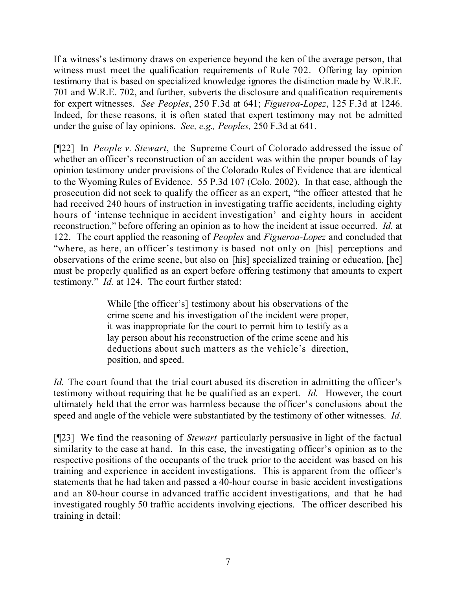If a witness's testimony draws on experience beyond the ken of the average person, that witness must meet the qualification requirements of Rule 702. Offering lay opinion testimony that is based on specialized knowledge ignores the distinction made by W.R.E. 701 and W.R.E. 702, and further, subverts the disclosure and qualification requirements for expert witnesses. *See Peoples*, 250 F.3d at 641; *Figueroa-Lopez*, 125 F.3d at 1246. Indeed, for these reasons, it is often stated that expert testimony may not be admitted under the guise of lay opinions. *See, e.g., Peoples,* 250 F.3d at 641.

[¶22] In *People v. Stewart*, the Supreme Court of Colorado addressed the issue of whether an officer's reconstruction of an accident was within the proper bounds of lay opinion testimony under provisions of the Colorado Rules of Evidence that are identical to the Wyoming Rules of Evidence. 55 P.3d 107 (Colo. 2002). In that case, although the prosecution did not seek to qualify the officer as an expert, "the officer attested that he had received 240 hours of instruction in investigating traffic accidents, including eighty hours of 'intense technique in accident investigation' and eighty hours in accident reconstruction," before offering an opinion as to how the incident at issue occurred. *Id.* at 122. The court applied the reasoning of *Peoples* and *Figueroa-Lopez* and concluded that "where, as here, an officer's testimony is based not only on [his] perceptions and observations of the crime scene, but also on [his] specialized training or education, [he] must be properly qualified as an expert before offering testimony that amounts to expert testimony." *Id.* at 124. The court further stated:

> While [the officer's] testimony about his observations of the crime scene and his investigation of the incident were proper, it was inappropriate for the court to permit him to testify as a lay person about his reconstruction of the crime scene and his deductions about such matters as the vehicle's direction, position, and speed.

*Id.* The court found that the trial court abused its discretion in admitting the officer's testimony without requiring that he be qualified as an expert. *Id.* However, the court ultimately held that the error was harmless because the officer's conclusions about the speed and angle of the vehicle were substantiated by the testimony of other witnesses. *Id.*

[¶23] We find the reasoning of *Stewart* particularly persuasive in light of the factual similarity to the case at hand. In this case, the investigating officer's opinion as to the respective positions of the occupants of the truck prior to the accident was based on his training and experience in accident investigations. This is apparent from the officer's statements that he had taken and passed a 40-hour course in basic accident investigations and an 80-hour course in advanced traffic accident investigations, and that he had investigated roughly 50 traffic accidents involving ejections. The officer described his training in detail: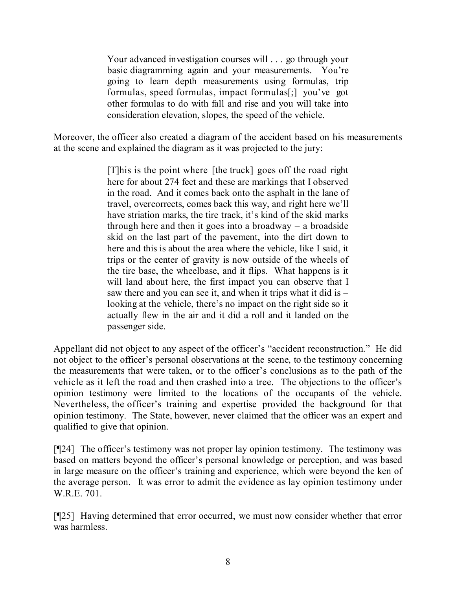Your advanced investigation courses will . . . go through your basic diagramming again and your measurements. You're going to learn depth measurements using formulas, trip formulas, speed formulas, impact formulas[;] you've got other formulas to do with fall and rise and you will take into consideration elevation, slopes, the speed of the vehicle.

Moreover, the officer also created a diagram of the accident based on his measurements at the scene and explained the diagram as it was projected to the jury:

> [T]his is the point where [the truck] goes off the road right here for about 274 feet and these are markings that I observed in the road. And it comes back onto the asphalt in the lane of travel, overcorrects, comes back this way, and right here we'll have striation marks, the tire track, it's kind of the skid marks through here and then it goes into a broadway  $-$  a broadside skid on the last part of the pavement, into the dirt down to here and this is about the area where the vehicle, like I said, it trips or the center of gravity is now outside of the wheels of the tire base, the wheelbase, and it flips. What happens is it will land about here, the first impact you can observe that I saw there and you can see it, and when it trips what it did is – looking at the vehicle, there's no impact on the right side so it actually flew in the air and it did a roll and it landed on the passenger side.

Appellant did not object to any aspect of the officer's "accident reconstruction." He did not object to the officer's personal observations at the scene, to the testimony concerning the measurements that were taken, or to the officer's conclusions as to the path of the vehicle as it left the road and then crashed into a tree. The objections to the officer's opinion testimony were limited to the locations of the occupants of the vehicle. Nevertheless, the officer's training and expertise provided the background for that opinion testimony. The State, however, never claimed that the officer was an expert and qualified to give that opinion.

[¶24] The officer's testimony was not proper lay opinion testimony. The testimony was based on matters beyond the officer's personal knowledge or perception, and was based in large measure on the officer's training and experience, which were beyond the ken of the average person. It was error to admit the evidence as lay opinion testimony under W.R.E. 701.

[¶25] Having determined that error occurred, we must now consider whether that error was harmless.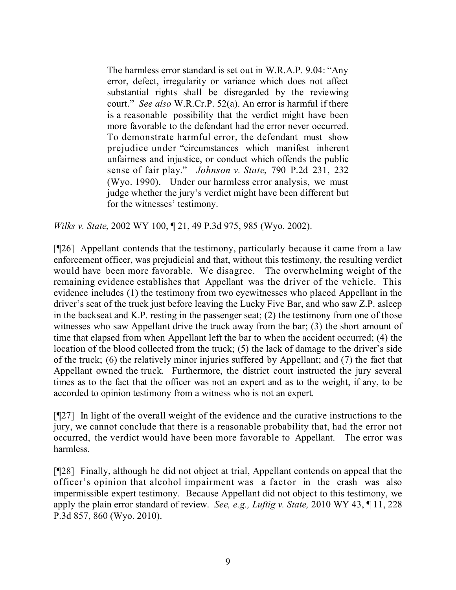The harmless error standard is set out in W.R.A.P. 9.04: "Any error, defect, irregularity or variance which does not affect substantial rights shall be disregarded by the reviewing court." *See also* W.R.Cr.P. 52(a). An error is harmful if there is a reasonable possibility that the verdict might have been more favorable to the defendant had the error never occurred. To demonstrate harmful error, the defendant must show prejudice under "circumstances which manifest inherent unfairness and injustice, or conduct which offends the public sense of fair play." *Johnson v. State*, 790 P.2d 231, 232 (Wyo. 1990). Under our harmless error analysis, we must judge whether the jury's verdict might have been different but for the witnesses' testimony.

*Wilks v. State*, 2002 WY 100, ¶ 21, 49 P.3d 975, 985 (Wyo. 2002).

[¶26] Appellant contends that the testimony, particularly because it came from a law enforcement officer, was prejudicial and that, without this testimony, the resulting verdict would have been more favorable. We disagree. The overwhelming weight of the remaining evidence establishes that Appellant was the driver of the vehicle. This evidence includes (1) the testimony from two eyewitnesses who placed Appellant in the driver's seat of the truck just before leaving the Lucky Five Bar, and who saw Z.P. asleep in the backseat and K.P. resting in the passenger seat; (2) the testimony from one of those witnesses who saw Appellant drive the truck away from the bar; (3) the short amount of time that elapsed from when Appellant left the bar to when the accident occurred; (4) the location of the blood collected from the truck; (5) the lack of damage to the driver's side of the truck; (6) the relatively minor injuries suffered by Appellant; and (7) the fact that Appellant owned the truck. Furthermore, the district court instructed the jury several times as to the fact that the officer was not an expert and as to the weight, if any, to be accorded to opinion testimony from a witness who is not an expert.

[¶27] In light of the overall weight of the evidence and the curative instructions to the jury, we cannot conclude that there is a reasonable probability that, had the error not occurred, the verdict would have been more favorable to Appellant. The error was harmless.

[¶28] Finally, although he did not object at trial, Appellant contends on appeal that the officer's opinion that alcohol impairment was a factor in the crash was also impermissible expert testimony. Because Appellant did not object to this testimony, we apply the plain error standard of review. *See, e.g., Luftig v. State,* 2010 WY 43, ¶ 11, 228 P.3d 857, 860 (Wyo. 2010).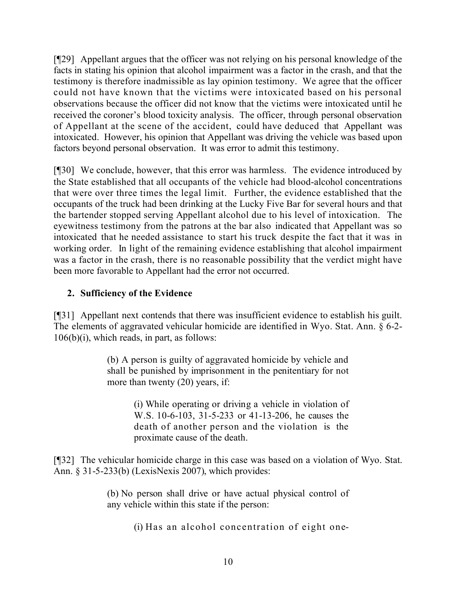[¶29] Appellant argues that the officer was not relying on his personal knowledge of the facts in stating his opinion that alcohol impairment was a factor in the crash, and that the testimony is therefore inadmissible as lay opinion testimony. We agree that the officer could not have known that the victims were intoxicated based on his personal observations because the officer did not know that the victims were intoxicated until he received the coroner's blood toxicity analysis. The officer, through personal observation of Appellant at the scene of the accident, could have deduced that Appellant was intoxicated. However, his opinion that Appellant was driving the vehicle was based upon factors beyond personal observation. It was error to admit this testimony.

[¶30] We conclude, however, that this error was harmless. The evidence introduced by the State established that all occupants of the vehicle had blood-alcohol concentrations that were over three times the legal limit. Further, the evidence established that the occupants of the truck had been drinking at the Lucky Five Bar for several hours and that the bartender stopped serving Appellant alcohol due to his level of intoxication. The eyewitness testimony from the patrons at the bar also indicated that Appellant was so intoxicated that he needed assistance to start his truck despite the fact that it was in working order. In light of the remaining evidence establishing that alcohol impairment was a factor in the crash, there is no reasonable possibility that the verdict might have been more favorable to Appellant had the error not occurred.

## **2. Sufficiency of the Evidence**

[¶31] Appellant next contends that there was insufficient evidence to establish his guilt. The elements of aggravated vehicular homicide are identified in Wyo. Stat. Ann. § 6-2- 106(b)(i), which reads, in part, as follows:

> (b) A person is guilty of aggravated homicide by vehicle and shall be punished by imprisonment in the penitentiary for not more than twenty (20) years, if:

> > (i) While operating or driving a vehicle in violation of W.S. 10-6-103, 31-5-233 or 41-13-206, he causes the death of another person and the violation is the proximate cause of the death.

[¶32] The vehicular homicide charge in this case was based on a violation of Wyo. Stat. Ann. § 31-5-233(b) (LexisNexis 2007), which provides:

> (b) No person shall drive or have actual physical control of any vehicle within this state if the person:

> > (i) Has an alcohol concentration of eight one-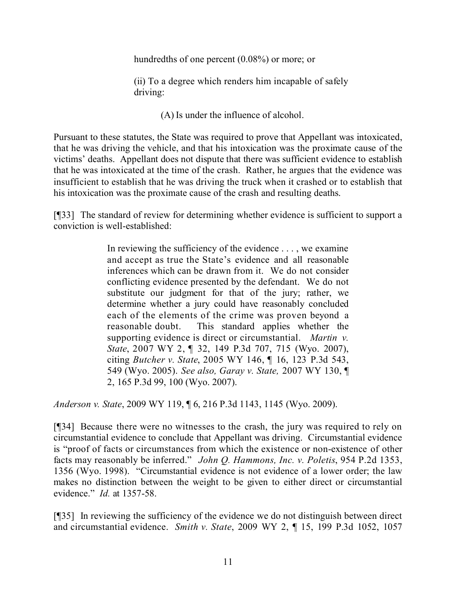hundredths of one percent (0.08%) or more; or

(ii) To a degree which renders him incapable of safely driving:

(A) Is under the influence of alcohol.

Pursuant to these statutes, the State was required to prove that Appellant was intoxicated, that he was driving the vehicle, and that his intoxication was the proximate cause of the victims' deaths. Appellant does not dispute that there was sufficient evidence to establish that he was intoxicated at the time of the crash. Rather, he argues that the evidence was insufficient to establish that he was driving the truck when it crashed or to establish that his intoxication was the proximate cause of the crash and resulting deaths.

[¶33] The standard of review for determining whether evidence is sufficient to support a conviction is well-established:

> In reviewing the sufficiency of the evidence . . . , we examine and accept as true the State's evidence and all reasonable inferences which can be drawn from it. We do not consider conflicting evidence presented by the defendant. We do not substitute our judgment for that of the jury; rather, we determine whether a jury could have reasonably concluded each of the elements of the crime was proven beyond a reasonable doubt. This standard applies whether the supporting evidence is direct or circumstantial. *Martin v. State*, 2007 WY 2, ¶ 32, 149 P.3d 707, 715 (Wyo. 2007), citing *Butcher v. State*, 2005 WY 146, ¶ 16, 123 P.3d 543, 549 (Wyo. 2005). *See also, Garay v. State,* 2007 WY 130, ¶ 2, 165 P.3d 99, 100 (Wyo. 2007).

*Anderson v. State*, 2009 WY 119, ¶ 6, 216 P.3d 1143, 1145 (Wyo. 2009).

[¶34] Because there were no witnesses to the crash, the jury was required to rely on circumstantial evidence to conclude that Appellant was driving. Circumstantial evidence is "proof of facts or circumstances from which the existence or non-existence of other facts may reasonably be inferred." *John Q. Hammons, Inc. v. Poletis*, 954 P.2d 1353, 1356 (Wyo. 1998). "Circumstantial evidence is not evidence of a lower order; the law makes no distinction between the weight to be given to either direct or circumstantial evidence." *Id.* at 1357-58.

[¶35] In reviewing the sufficiency of the evidence we do not distinguish between direct and circumstantial evidence. *Smith v. State*, 2009 WY 2, ¶ 15, 199 P.3d 1052, 1057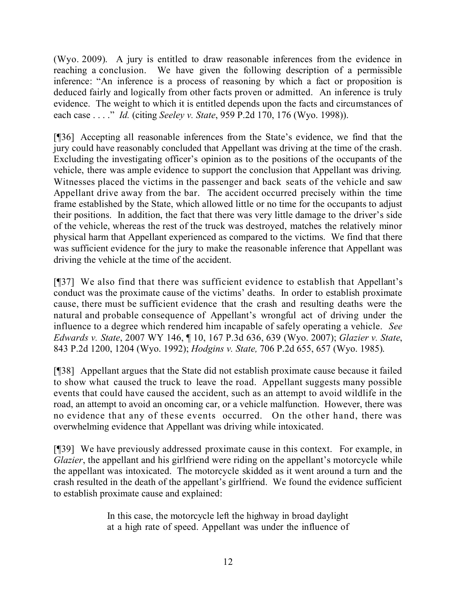(Wyo. 2009). A jury is entitled to draw reasonable inferences from the evidence in reaching a conclusion. We have given the following description of a permissible inference: "An inference is a process of reasoning by which a fact or proposition is deduced fairly and logically from other facts proven or admitted. An inference is truly evidence. The weight to which it is entitled depends upon the facts and circumstances of each case . . . ." *Id.* (citing *Seeley v. State*, 959 P.2d 170, 176 (Wyo. 1998)).

[¶36] Accepting all reasonable inferences from the State's evidence, we find that the jury could have reasonably concluded that Appellant was driving at the time of the crash. Excluding the investigating officer's opinion as to the positions of the occupants of the vehicle, there was ample evidence to support the conclusion that Appellant was driving. Witnesses placed the victims in the passenger and back seats of the vehicle and saw Appellant drive away from the bar. The accident occurred precisely within the time frame established by the State, which allowed little or no time for the occupants to adjust their positions. In addition, the fact that there was very little damage to the driver's side of the vehicle, whereas the rest of the truck was destroyed, matches the relatively minor physical harm that Appellant experienced as compared to the victims. We find that there was sufficient evidence for the jury to make the reasonable inference that Appellant was driving the vehicle at the time of the accident.

[¶37] We also find that there was sufficient evidence to establish that Appellant's conduct was the proximate cause of the victims' deaths. In order to establish proximate cause, there must be sufficient evidence that the crash and resulting deaths were the natural and probable consequence of Appellant's wrongful act of driving under the influence to a degree which rendered him incapable of safely operating a vehicle. *See Edwards v. State*, 2007 WY 146, ¶ 10, 167 P.3d 636, 639 (Wyo. 2007); *Glazier v. State*, 843 P.2d 1200, 1204 (Wyo. 1992); *Hodgins v. State,* 706 P.2d 655, 657 (Wyo. 1985).

[¶38] Appellant argues that the State did not establish proximate cause because it failed to show what caused the truck to leave the road. Appellant suggests many possible events that could have caused the accident, such as an attempt to avoid wildlife in the road, an attempt to avoid an oncoming car, or a vehicle malfunction. However, there was no evidence that any of these events occurred. On the other hand, there was overwhelming evidence that Appellant was driving while intoxicated.

[¶39] We have previously addressed proximate cause in this context. For example, in *Glazier*, the appellant and his girlfriend were riding on the appellant's motorcycle while the appellant was intoxicated. The motorcycle skidded as it went around a turn and the crash resulted in the death of the appellant's girlfriend. We found the evidence sufficient to establish proximate cause and explained:

> In this case, the motorcycle left the highway in broad daylight at a high rate of speed. Appellant was under the influence of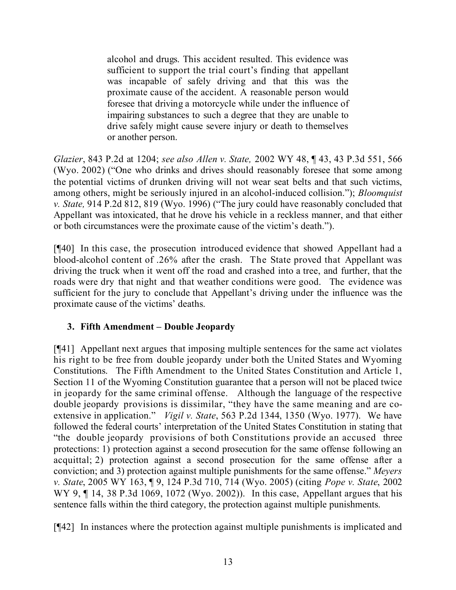alcohol and drugs. This accident resulted. This evidence was sufficient to support the trial court's finding that appellant was incapable of safely driving and that this was the proximate cause of the accident. A reasonable person would foresee that driving a motorcycle while under the influence of impairing substances to such a degree that they are unable to drive safely might cause severe injury or death to themselves or another person.

*Glazier*, 843 P.2d at 1204; *see also Allen v. State,* 2002 WY 48, ¶ 43, 43 P.3d 551, 566 (Wyo. 2002) ("One who drinks and drives should reasonably foresee that some among the potential victims of drunken driving will not wear seat belts and that such victims, among others, might be seriously injured in an alcohol-induced collision."); *Bloomquist v. State,* 914 P.2d 812, 819 (Wyo. 1996) ("The jury could have reasonably concluded that Appellant was intoxicated, that he drove his vehicle in a reckless manner, and that either or both circumstances were the proximate cause of the victim's death.").

[¶40] In this case, the prosecution introduced evidence that showed Appellant had a blood-alcohol content of .26% after the crash. The State proved that Appellant was driving the truck when it went off the road and crashed into a tree, and further, that the roads were dry that night and that weather conditions were good. The evidence was sufficient for the jury to conclude that Appellant's driving under the influence was the proximate cause of the victims' deaths.

# **3. Fifth Amendment – Double Jeopardy**

[¶41] Appellant next argues that imposing multiple sentences for the same act violates his right to be free from double jeopardy under both the United States and Wyoming Constitutions. The Fifth Amendment to the United States Constitution and Article 1, Section 11 of the Wyoming Constitution guarantee that a person will not be placed twice in jeopardy for the same criminal offense. Although the language of the respective double jeopardy provisions is dissimilar, "they have the same meaning and are coextensive in application." *Vigil v. State*, 563 P.2d 1344, 1350 (Wyo. 1977). We have followed the federal courts' interpretation of the United States Constitution in stating that "the double jeopardy provisions of both Constitutions provide an accused three protections: 1) protection against a second prosecution for the same offense following an acquittal; 2) protection against a second prosecution for the same offense after a conviction; and 3) protection against multiple punishments for the same offense." *Meyers v. State*, 2005 WY 163, ¶ 9, 124 P.3d 710, 714 (Wyo. 2005) (citing *Pope v. State*, 2002 WY 9, ¶ 14, 38 P.3d 1069, 1072 (Wyo. 2002)). In this case, Appellant argues that his sentence falls within the third category, the protection against multiple punishments.

[¶42] In instances where the protection against multiple punishments is implicated and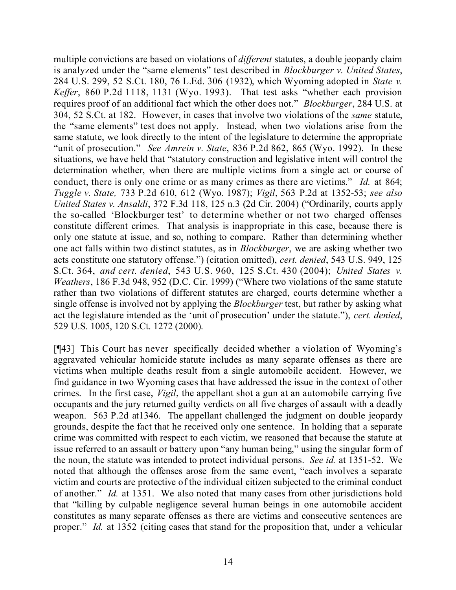multiple convictions are based on violations of *different* statutes, a double jeopardy claim is analyzed under the "same elements" test described in *Blockburger v. United States*, 284 U.S. 299, 52 S.Ct. 180, 76 L.Ed. 306 (1932), which Wyoming adopted in *State v. Keffer*, 860 P.2d 1118, 1131 (Wyo. 1993). That test asks "whether each provision requires proof of an additional fact which the other does not." *Blockburger*, 284 U.S. at 304, 52 S.Ct. at 182. However, in cases that involve two violations of the *same* statute, the "same elements" test does not apply. Instead, when two violations arise from the same statute, we look directly to the intent of the legislature to determine the appropriate "unit of prosecution." *See Amrein v. State*, 836 P.2d 862, 865 (Wyo. 1992). In these situations, we have held that "statutory construction and legislative intent will control the determination whether, when there are multiple victims from a single act or course of conduct, there is only one crime or as many crimes as there are victims." *Id.* at 864; *Tuggle v. State,* 733 P.2d 610, 612 (Wyo. 1987); *Vigil*, 563 P.2d at 1352-53; *see also United States v. Ansaldi*, 372 F.3d 118, 125 n.3 (2d Cir. 2004) ("Ordinarily, courts apply the so-called 'Blockburger test' to determine whether or not two charged offenses constitute different crimes. That analysis is inappropriate in this case, because there is only one statute at issue, and so, nothing to compare. Rather than determining whether one act falls within two distinct statutes, as in *Blockburger*, we are asking whether two acts constitute one statutory offense.") (citation omitted), *cert. denied*, 543 U.S. 949, 125 S.Ct. 364, *and cert. denied*, 543 U.S. 960, 125 S.Ct. 430 (2004); *United States v. Weathers*, 186 F.3d 948, 952 (D.C. Cir. 1999) ("Where two violations of the same statute rather than two violations of different statutes are charged, courts determine whether a single offense is involved not by applying the *Blockburger* test, but rather by asking what act the legislature intended as the 'unit of prosecution' under the statute."), *cert. denied*, 529 U.S. 1005, 120 S.Ct. 1272 (2000).

[¶43] This Court has never specifically decided whether a violation of Wyoming's aggravated vehicular homicide statute includes as many separate offenses as there are victims when multiple deaths result from a single automobile accident. However, we find guidance in two Wyoming cases that have addressed the issue in the context of other crimes. In the first case, *Vigil*, the appellant shot a gun at an automobile carrying five occupants and the jury returned guilty verdicts on all five charges of assault with a deadly weapon. 563 P.2d at1346. The appellant challenged the judgment on double jeopardy grounds, despite the fact that he received only one sentence. In holding that a separate crime was committed with respect to each victim, we reasoned that because the statute at issue referred to an assault or battery upon "any human being," using the singular form of the noun, the statute was intended to protect individual persons. *See id.* at 1351-52. We noted that although the offenses arose from the same event, "each involves a separate victim and courts are protective of the individual citizen subjected to the criminal conduct of another." *Id.* at 1351. We also noted that many cases from other jurisdictions hold that "killing by culpable negligence several human beings in one automobile accident constitutes as many separate offenses as there are victims and consecutive sentences are proper." *Id.* at 1352 (citing cases that stand for the proposition that, under a vehicular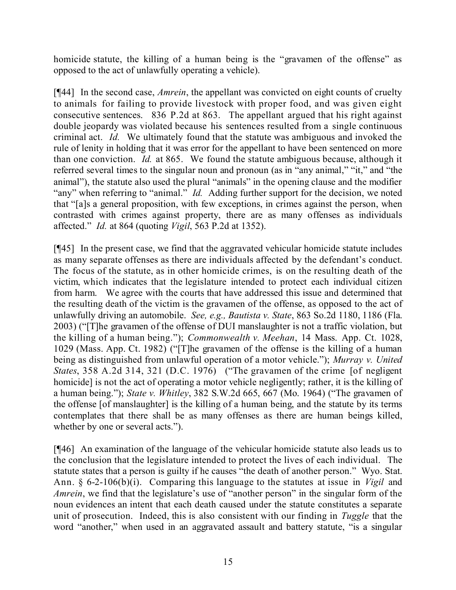homicide statute, the killing of a human being is the "gravamen of the offense" as opposed to the act of unlawfully operating a vehicle).

[¶44] In the second case, *Amrein*, the appellant was convicted on eight counts of cruelty to animals for failing to provide livestock with proper food, and was given eight consecutive sentences. 836 P.2d at 863. The appellant argued that his right against double jeopardy was violated because his sentences resulted from a single continuous criminal act. *Id.* We ultimately found that the statute was ambiguous and invoked the rule of lenity in holding that it was error for the appellant to have been sentenced on more than one conviction. *Id.* at 865. We found the statute ambiguous because, although it referred several times to the singular noun and pronoun (as in "any animal," "it," and "the animal"), the statute also used the plural "animals" in the opening clause and the modifier "any" when referring to "animal." *Id.* Adding further support for the decision, we noted that "[a]s a general proposition, with few exceptions, in crimes against the person, when contrasted with crimes against property, there are as many offenses as individuals affected." *Id.* at 864 (quoting *Vigil*, 563 P.2d at 1352).

[¶45] In the present case, we find that the aggravated vehicular homicide statute includes as many separate offenses as there are individuals affected by the defendant's conduct. The focus of the statute, as in other homicide crimes, is on the resulting death of the victim, which indicates that the legislature intended to protect each individual citizen from harm. We agree with the courts that have addressed this issue and determined that the resulting death of the victim is the gravamen of the offense, as opposed to the act of unlawfully driving an automobile. *See, e.g., Bautista v. State*, 863 So.2d 1180, 1186 (Fla. 2003) ("[T]he gravamen of the offense of DUI manslaughter is not a traffic violation, but the killing of a human being."); *Commonwealth v. Meehan*, 14 Mass. App. Ct. 1028, 1029 (Mass. App. Ct. 1982) ("[T]he gravamen of the offense is the killing of a human being as distinguished from unlawful operation of a motor vehicle."); *Murray v. United States*, 358 A.2d 314, 321 (D.C. 1976) ("The gravamen of the crime [of negligent homicide] is not the act of operating a motor vehicle negligently; rather, it is the killing of a human being."); *State v. Whitley*, 382 S.W.2d 665, 667 (Mo. 1964) ("The gravamen of the offense [of manslaughter] is the killing of a human being, and the statute by its terms contemplates that there shall be as many offenses as there are human beings killed, whether by one or several acts.").

[¶46] An examination of the language of the vehicular homicide statute also leads us to the conclusion that the legislature intended to protect the lives of each individual. The statute states that a person is guilty if he causes "the death of another person." Wyo. Stat. Ann. § 6-2-106(b)(i). Comparing this language to the statutes at issue in *Vigil* and *Amrein*, we find that the legislature's use of "another person" in the singular form of the noun evidences an intent that each death caused under the statute constitutes a separate unit of prosecution. Indeed, this is also consistent with our finding in *Tuggle* that the word "another," when used in an aggravated assault and battery statute, "is a singular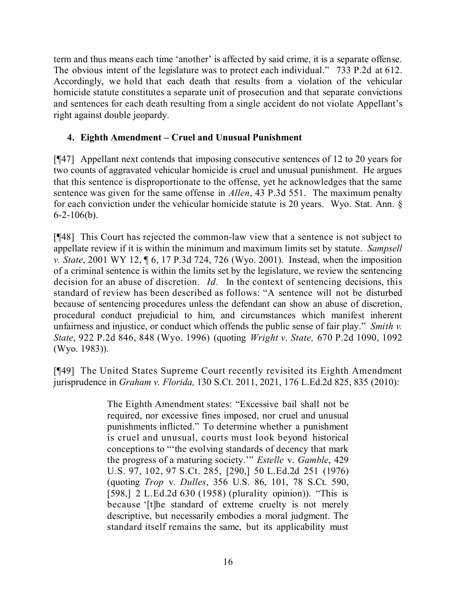term and thus means each time 'another' is affected by said crime, it is a separate offense. The obvious intent of the legislature was to protect each individual." 733 P.2d at 612. Accordingly, we hold that each death that results from a violation of the vehicular homicide statute constitutes a separate unit of prosecution and that separate convictions and sentences for each death resulting from a single accident do not violate Appellant's right against double jeopardy.

# **4. Eighth Amendment – Cruel and Unusual Punishment**

[¶47] Appellant next contends that imposing consecutive sentences of 12 to 20 years for two counts of aggravated vehicular homicide is cruel and unusual punishment. He argues that this sentence is disproportionate to the offense, yet he acknowledges that the same sentence was given for the same offense in *Allen*, 43 P.3d 551. The maximum penalty for each conviction under the vehicular homicide statute is 20 years. Wyo. Stat. Ann. §  $6 - 2 - 106(b)$ .

[¶48] This Court has rejected the common-law view that a sentence is not subject to appellate review if it is within the minimum and maximum limits set by statute. *Sampsell v. State*, 2001 WY 12, ¶ 6, 17 P.3d 724, 726 (Wyo. 2001). Instead, when the imposition of a criminal sentence is within the limits set by the legislature, we review the sentencing decision for an abuse of discretion. *Id.* In the context of sentencing decisions, this standard of review has been described as follows: "A sentence will not be disturbed because of sentencing procedures unless the defendant can show an abuse of discretion, procedural conduct prejudicial to him, and circumstances which manifest inherent unfairness and injustice, or conduct which offends the public sense of fair play." *Smith v. State*, 922 P.2d 846, 848 (Wyo. 1996) (quoting *Wright v. State,* 670 P.2d 1090, 1092 (Wyo. 1983)).

[¶49] The United States Supreme Court recently revisited its Eighth Amendment jurisprudence in *Graham v. Florida,* 130 S.Ct. 2011, 2021, 176 L.Ed.2d 825, 835 (2010):

> The Eighth Amendment states: "Excessive bail shall not be required, nor excessive fines imposed, nor cruel and unusual punishments inflicted." To determine whether a punishment is cruel and unusual, courts must look beyond historical conceptions to "'the evolving standards of decency that mark the progress of a maturing society.'" *Estelle* v. *Gamble*, 429 U.S. 97, 102, 97 S.Ct. 285, [290,] 50 L.Ed.2d 251 (1976) (quoting *Trop* v. *Dulles*, 356 U.S. 86, 101, 78 S.Ct. 590, [598,] 2 L.Ed.2d 630 (1958) (plurality opinion)). "This is because '[t]he standard of extreme cruelty is not merely descriptive, but necessarily embodies a moral judgment. The standard itself remains the same, but its applicability must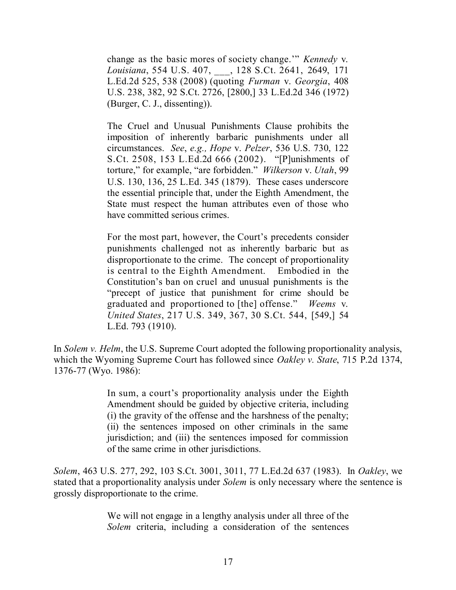change as the basic mores of society change.'" *Kennedy* v. *Louisiana*, 554 U.S. 407, \_\_\_, 128 S.Ct. 2641, 2649, 171 L.Ed.2d 525, 538 (2008) (quoting *Furman* v. *Georgia*, 408 U.S. 238, 382, 92 S.Ct. 2726, [2800,] 33 L.Ed.2d 346 (1972) (Burger, C. J., dissenting)).

The Cruel and Unusual Punishments Clause prohibits the imposition of inherently barbaric punishments under all circumstances. *See*, *e.g., Hope* v. *Pelzer*, 536 U.S. 730, 122 S.Ct. 2508, 153 L.Ed.2d 666 (2002). "[P]unishments of torture," for example, "are forbidden." *Wilkerson* v. *Utah*, 99 U.S. 130, 136, 25 L.Ed. 345 (1879). These cases underscore the essential principle that, under the Eighth Amendment, the State must respect the human attributes even of those who have committed serious crimes.

For the most part, however, the Court's precedents consider punishments challenged not as inherently barbaric but as disproportionate to the crime. The concept of proportionality is central to the Eighth Amendment. Embodied in the Constitution's ban on cruel and unusual punishments is the "precept of justice that punishment for crime should be graduated and proportioned to [the] offense." *Weems* v. *United States*, 217 U.S. 349, 367, 30 S.Ct. 544, [549,] 54 L.Ed. 793 (1910).

In *Solem v. Helm*, the U.S. Supreme Court adopted the following proportionality analysis, which the Wyoming Supreme Court has followed since *Oakley v. State*, 715 P.2d 1374, 1376-77 (Wyo. 1986):

> In sum, a court's proportionality analysis under the Eighth Amendment should be guided by objective criteria, including (i) the gravity of the offense and the harshness of the penalty; (ii) the sentences imposed on other criminals in the same jurisdiction; and (iii) the sentences imposed for commission of the same crime in other jurisdictions.

*Solem*, 463 U.S. 277, 292, 103 S.Ct. 3001, 3011, 77 L.Ed.2d 637 (1983). In *Oakley*, we stated that a proportionality analysis under *Solem* is only necessary where the sentence is grossly disproportionate to the crime.

> We will not engage in a lengthy analysis under all three of the *Solem* criteria, including a consideration of the sentences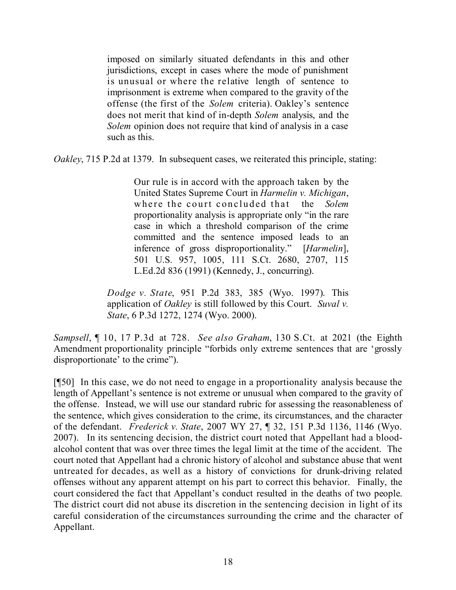imposed on similarly situated defendants in this and other jurisdictions, except in cases where the mode of punishment is unusual or where the relative length of sentence to imprisonment is extreme when compared to the gravity of the offense (the first of the *Solem* criteria). Oakley's sentence does not merit that kind of in-depth *Solem* analysis, and the *Solem* opinion does not require that kind of analysis in a case such as this.

*Oakley*, 715 P.2d at 1379. In subsequent cases, we reiterated this principle, stating:

Our rule is in accord with the approach taken by the United States Supreme Court in *Harmelin v. Michigan*, where the court concluded that the *Solem* proportionality analysis is appropriate only "in the rare case in which a threshold comparison of the crime committed and the sentence imposed leads to an inference of gross disproportionality." [*Harmelin*], 501 U.S. 957, 1005, 111 S.Ct. 2680, 2707, 115 L.Ed.2d 836 (1991) (Kennedy, J., concurring).

*Dodge v. State*, 951 P.2d 383, 385 (Wyo. 1997). This application of *Oakley* is still followed by this Court. *Suval v. State*, 6 P.3d 1272, 1274 (Wyo. 2000).

*Sampsell*, ¶ 10, 17 P.3d at 728. *See also Graham*, 130 S.Ct. at 2021 (the Eighth Amendment proportionality principle "forbids only extreme sentences that are 'grossly disproportionate' to the crime").

[¶50] In this case, we do not need to engage in a proportionality analysis because the length of Appellant's sentence is not extreme or unusual when compared to the gravity of the offense. Instead, we will use our standard rubric for assessing the reasonableness of the sentence, which gives consideration to the crime, its circumstances, and the character of the defendant. *Frederick v. State*, 2007 WY 27, ¶ 32, 151 P.3d 1136, 1146 (Wyo. 2007). In its sentencing decision, the district court noted that Appellant had a bloodalcohol content that was over three times the legal limit at the time of the accident. The court noted that Appellant had a chronic history of alcohol and substance abuse that went untreated for decades, as well as a history of convictions for drunk-driving related offenses without any apparent attempt on his part to correct this behavior. Finally, the court considered the fact that Appellant's conduct resulted in the deaths of two people. The district court did not abuse its discretion in the sentencing decision in light of its careful consideration of the circumstances surrounding the crime and the character of Appellant.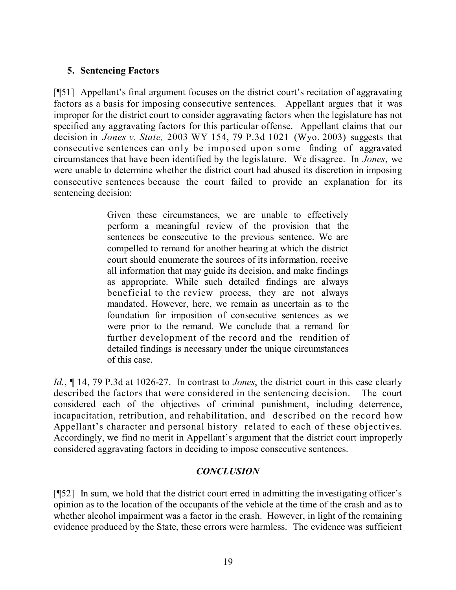## **5. Sentencing Factors**

[¶51] Appellant's final argument focuses on the district court's recitation of aggravating factors as a basis for imposing consecutive sentences. Appellant argues that it was improper for the district court to consider aggravating factors when the legislature has not specified any aggravating factors for this particular offense. Appellant claims that our decision in *Jones v. State,* 2003 WY 154, 79 P.3d 1021 (Wyo. 2003) suggests that consecutive sentences can only be imposed upon some finding of aggravated circumstances that have been identified by the legislature. We disagree. In *Jones*, we were unable to determine whether the district court had abused its discretion in imposing consecutive sentences because the court failed to provide an explanation for its sentencing decision:

> Given these circumstances, we are unable to effectively perform a meaningful review of the provision that the sentences be consecutive to the previous sentence. We are compelled to remand for another hearing at which the district court should enumerate the sources of its information, receive all information that may guide its decision, and make findings as appropriate. While such detailed findings are always beneficial to the review process, they are not always mandated. However, here, we remain as uncertain as to the foundation for imposition of consecutive sentences as we were prior to the remand. We conclude that a remand for further development of the record and the rendition of detailed findings is necessary under the unique circumstances of this case.

*Id.*, ¶ 14, 79 P.3d at 1026-27. In contrast to *Jones*, the district court in this case clearly described the factors that were considered in the sentencing decision. The court considered each of the objectives of criminal punishment, including deterrence, incapacitation, retribution, and rehabilitation, and described on the record how Appellant's character and personal history related to each of these objectives. Accordingly, we find no merit in Appellant's argument that the district court improperly considered aggravating factors in deciding to impose consecutive sentences.

# *CONCLUSION*

[¶52] In sum, we hold that the district court erred in admitting the investigating officer's opinion as to the location of the occupants of the vehicle at the time of the crash and as to whether alcohol impairment was a factor in the crash. However, in light of the remaining evidence produced by the State, these errors were harmless. The evidence was sufficient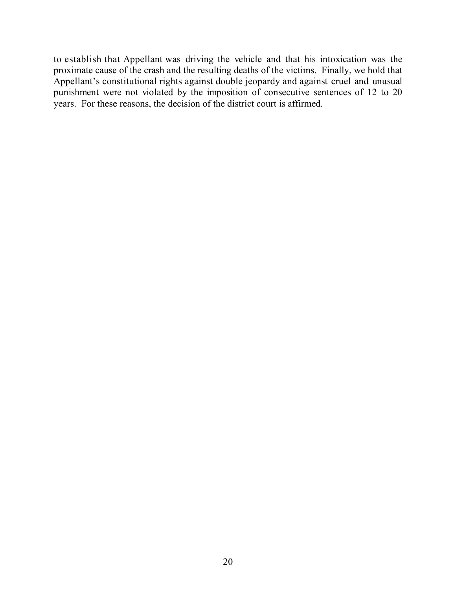to establish that Appellant was driving the vehicle and that his intoxication was the proximate cause of the crash and the resulting deaths of the victims. Finally, we hold that Appellant's constitutional rights against double jeopardy and against cruel and unusual punishment were not violated by the imposition of consecutive sentences of 12 to 20 years. For these reasons, the decision of the district court is affirmed.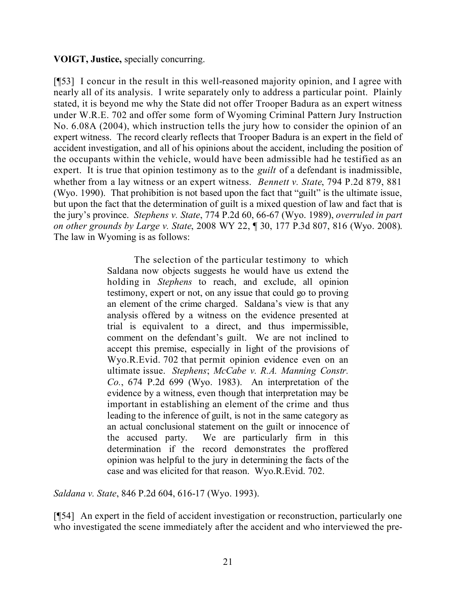## **VOIGT, Justice,** specially concurring.

[¶53] I concur in the result in this well-reasoned majority opinion, and I agree with nearly all of its analysis. I write separately only to address a particular point. Plainly stated, it is beyond me why the State did not offer Trooper Badura as an expert witness under W.R.E. 702 and offer some form of Wyoming Criminal Pattern Jury Instruction No. 6.08A (2004), which instruction tells the jury how to consider the opinion of an expert witness. The record clearly reflects that Trooper Badura is an expert in the field of accident investigation, and all of his opinions about the accident, including the position of the occupants within the vehicle, would have been admissible had he testified as an expert. It is true that opinion testimony as to the *guilt* of a defendant is inadmissible, whether from a lay witness or an expert witness. *Bennett v. State*, 794 P.2d 879, 881 (Wyo. 1990). That prohibition is not based upon the fact that "guilt" is the ultimate issue, but upon the fact that the determination of guilt is a mixed question of law and fact that is the jury's province. *Stephens v. State*, 774 P.2d 60, 66-67 (Wyo. 1989), *overruled in part on other grounds by Large v. State*, 2008 WY 22, ¶ 30, 177 P.3d 807, 816 (Wyo. 2008). The law in Wyoming is as follows:

> The selection of the particular testimony to which Saldana now objects suggests he would have us extend the holding in *Stephens* to reach, and exclude, all opinion testimony, expert or not, on any issue that could go to proving an element of the crime charged. Saldana's view is that any analysis offered by a witness on the evidence presented at trial is equivalent to a direct, and thus impermissible, comment on the defendant's guilt. We are not inclined to accept this premise, especially in light of the provisions of Wyo.R.Evid. 702 that permit opinion evidence even on an ultimate issue. *Stephens*; *McCabe v. R.A. Manning Constr. Co.*, 674 P.2d 699 (Wyo. 1983). An interpretation of the evidence by a witness, even though that interpretation may be important in establishing an element of the crime and thus leading to the inference of guilt, is not in the same category as an actual conclusional statement on the guilt or innocence of the accused party. We are particularly firm in this determination if the record demonstrates the proffered opinion was helpful to the jury in determining the facts of the case and was elicited for that reason. Wyo.R.Evid. 702.

*Saldana v. State*, 846 P.2d 604, 616-17 (Wyo. 1993).

[¶54] An expert in the field of accident investigation or reconstruction, particularly one who investigated the scene immediately after the accident and who interviewed the pre